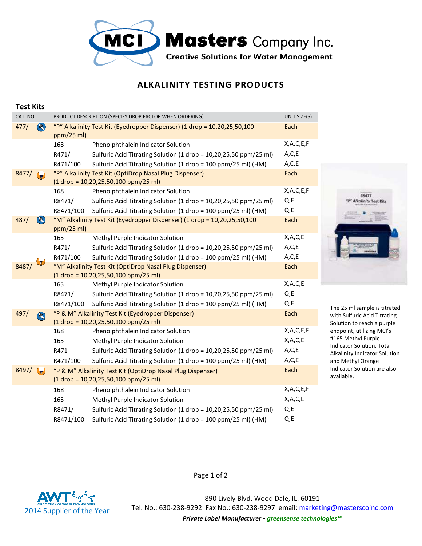

## **ALKALINITY TESTING PRODUCTS**

| Test MIS                                                    |            |                                                                                                           |              |
|-------------------------------------------------------------|------------|-----------------------------------------------------------------------------------------------------------|--------------|
| CAT. NO.                                                    |            | PRODUCT DESCRIPTION (SPECIFY DROP FACTOR WHEN ORDERING)                                                   | UNIT SIZE(S) |
| $\bigcircled{\color{red}8}$<br>477/                         | ppm/25 ml  | "P" Alkalinity Test Kit (Eyedropper Dispenser) (1 drop = 10,20,25,50,100                                  | Each         |
|                                                             | 168        | Phenolphthalein Indicator Solution                                                                        | X,A,C,E,F    |
|                                                             | R471/      | Sulfuric Acid Titrating Solution (1 drop = 10,20,25,50 ppm/25 ml)                                         | A, C, E      |
|                                                             | R471/100   | Sulfuric Acid Titrating Solution (1 drop = 100 ppm/25 ml) (HM)                                            | A, C, E      |
| 8477/<br>$\left( \begin{matrix} \cdot \end{matrix} \right)$ |            | "P" Alkalinity Test Kit (OptiDrop Nasal Plug Dispenser)<br>$(1$ drop = 10,20,25,50,100 ppm/25 ml)         | Each         |
|                                                             | 168        | Phenolphthalein Indicator Solution                                                                        | X,A,C,E,F    |
|                                                             | R8471/     | Sulfuric Acid Titrating Solution (1 drop = 10,20,25,50 ppm/25 ml)                                         | Q, E         |
|                                                             | R8471/100  | Sulfuric Acid Titrating Solution (1 drop = 100 ppm/25 ml) (HM)                                            | Q, E         |
| $\otimes$<br>487/                                           | ppm/25 ml) | "M" Alkalinity Test Kit (Eyedropper Dispenser) (1 drop = 10,20,25,50,100                                  | Each         |
|                                                             | 165        | Methyl Purple Indicator Solution                                                                          | X,A,C,E      |
|                                                             | R471/      | Sulfuric Acid Titrating Solution (1 drop = 10,20,25,50 ppm/25 ml)                                         | A, C, E      |
|                                                             | R471/100   | Sulfuric Acid Titrating Solution (1 drop = 100 ppm/25 ml) (HM)                                            | A, C, E      |
| 8487/                                                       |            | "M" Alkalinity Test Kit (OptiDrop Nasal Plug Dispenser)                                                   | Each         |
|                                                             |            | $(1$ drop = 10,20,25,50,100 ppm/25 ml)                                                                    |              |
|                                                             | 165        | Methyl Purple Indicator Solution                                                                          | X,A,C,E      |
|                                                             | R8471/     | Sulfuric Acid Titrating Solution (1 drop = 10,20,25,50 ppm/25 ml)                                         | Q, E         |
|                                                             | R8471/100  | Sulfuric Acid Titrating Solution (1 drop = 100 ppm/25 ml) (HM)                                            | Q, E         |
| 497/<br>$\left( \begin{matrix} \infty \end{matrix} \right)$ |            | "P & M" Alkalinity Test Kit (Eyedropper Dispenser)<br>$(1 drop = 10, 20, 25, 50, 100 ppm/25 ml)$          | Each         |
|                                                             | 168        | Phenolphthalein Indicator Solution                                                                        | X,A,C,E,F    |
|                                                             | 165        | Methyl Purple Indicator Solution                                                                          | X,A,C,E      |
|                                                             | R471       | Sulfuric Acid Titrating Solution (1 drop = 10,20,25,50 ppm/25 ml)                                         | A, C, E      |
|                                                             | R471/100   | Sulfuric Acid Titrating Solution (1 drop = 100 ppm/25 ml) (HM)                                            | A, C, E      |
| 8497/<br>$(\mathbf{r})$                                     |            | "P & M" Alkalinity Test Kit (OptiDrop Nasal Plug Dispenser)<br>$(1 drop = 10, 20, 25, 50, 100 ppm/25 ml)$ | Each         |
|                                                             | 168        | Phenolphthalein Indicator Solution                                                                        | X,A,C,E,F    |
|                                                             | 165        | Methyl Purple Indicator Solution                                                                          | X, A, C, E   |
|                                                             | R8471/     | Sulfuric Acid Titrating Solution (1 drop = 10,20,25,50 ppm/25 ml)                                         | Q, E         |
|                                                             | R8471/100  | Sulfuric Acid Titrating Solution (1 drop = 100 ppm/25 ml) (HM)                                            | Q, E         |



**Test Kits**

890 Lively Blvd. Wood Dale, IL. 60191 Tel. No.: 630-238-9292 Fax No.: 630-238-9297 email: marketing@masterscoinc.com *Private Label Manufacturer - greensense technologies™*

Page 1 of 2